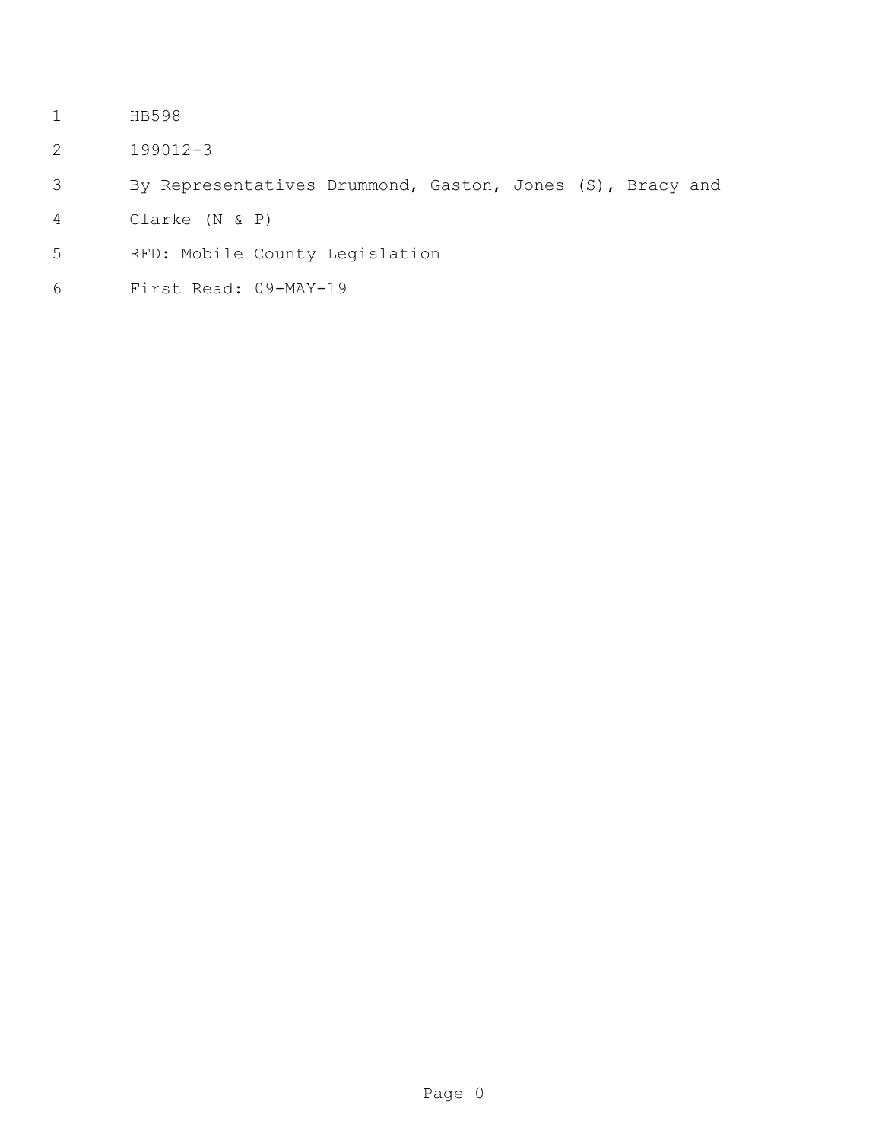- HB598
- 199012-3
- By Representatives Drummond, Gaston, Jones (S), Bracy and
- Clarke (N & P)
- RFD: Mobile County Legislation
- First Read: 09-MAY-19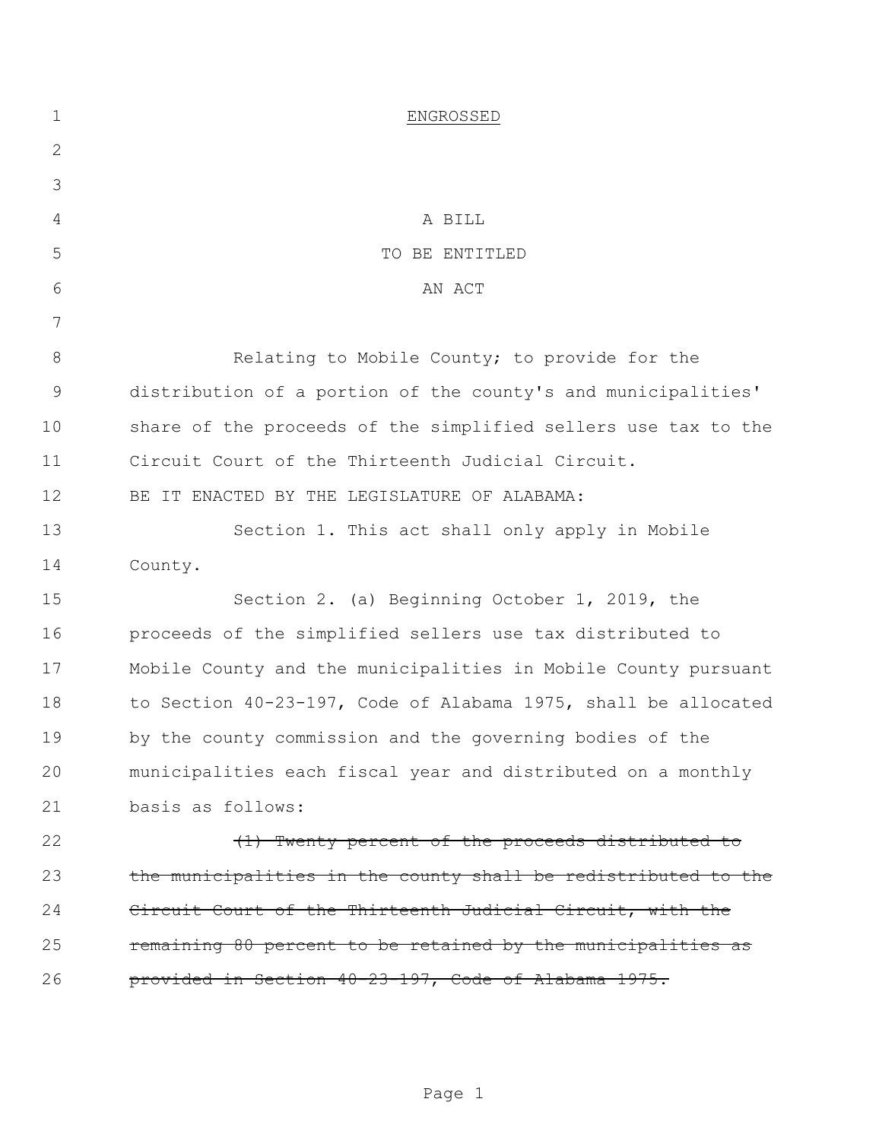| $\mathbf 1$   | ENGROSSED                                                      |
|---------------|----------------------------------------------------------------|
| $\mathbf{2}$  |                                                                |
| 3             |                                                                |
| 4             | A BILL                                                         |
| 5             | TO BE ENTITLED                                                 |
| 6             | AN ACT                                                         |
| 7             |                                                                |
| $8\,$         | Relating to Mobile County; to provide for the                  |
| $\mathcal{G}$ | distribution of a portion of the county's and municipalities'  |
| 10            | share of the proceeds of the simplified sellers use tax to the |
| 11            | Circuit Court of the Thirteenth Judicial Circuit.              |
| 12            | BE IT ENACTED BY THE LEGISLATURE OF ALABAMA:                   |
| 13            | Section 1. This act shall only apply in Mobile                 |
| 14            | County.                                                        |
| 15            | Section 2. (a) Beginning October 1, 2019, the                  |
| 16            | proceeds of the simplified sellers use tax distributed to      |
| 17            | Mobile County and the municipalities in Mobile County pursuant |
| 18            | to Section 40-23-197, Code of Alabama 1975, shall be allocated |
| 19            | by the county commission and the governing bodies of the       |
| 20            | municipalities each fiscal year and distributed on a monthly   |
| 21            | basis as follows:                                              |
| 22            | (1) Twenty percent of the proceeds distributed to              |
| 23            | the municipalities in the county shall be redistributed to the |
| 24            | Circuit Court of the Thirteenth Judicial Circuit, with the     |
| 25            | remaining 80 percent to be retained by the municipalities as   |
| 26            | provided in Section 40-23-197, Code of Alabama 1975.           |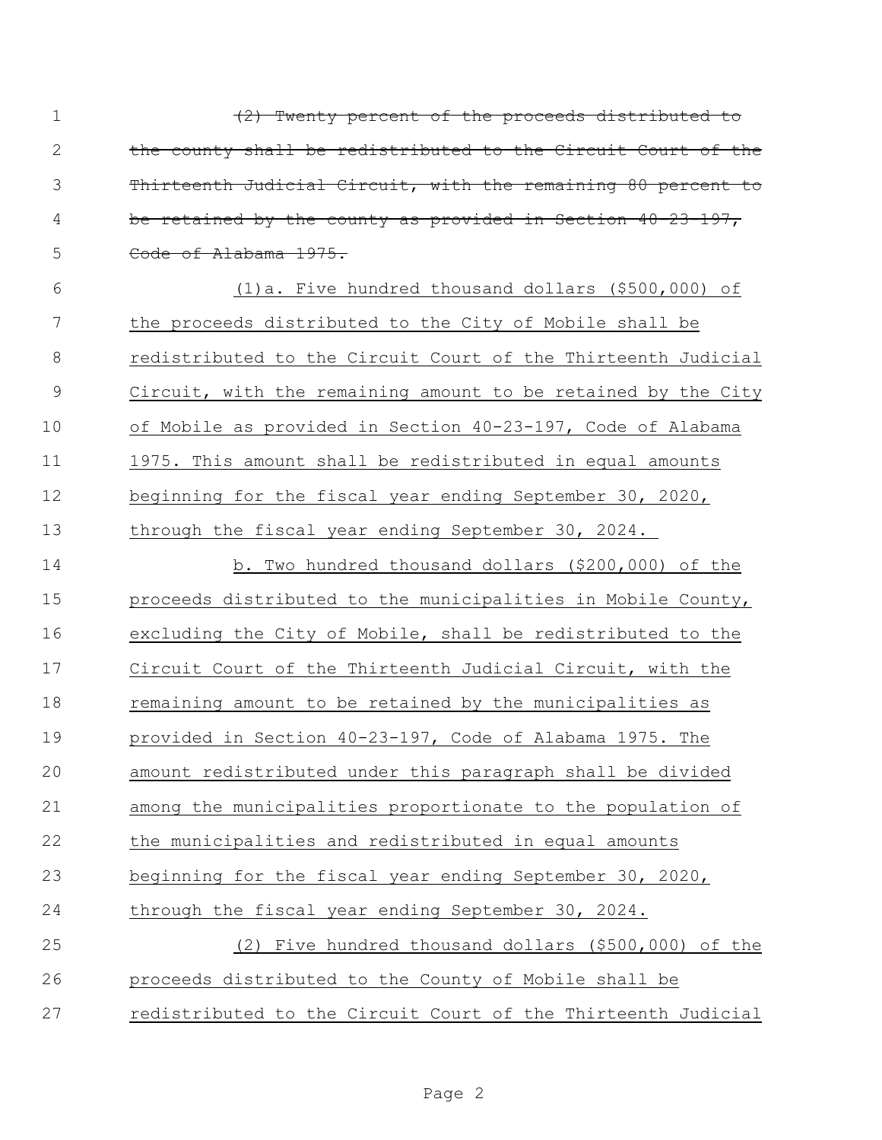| $\mathbf 1$   | (2) Twenty percent of the proceeds distributed to              |
|---------------|----------------------------------------------------------------|
| $\sqrt{2}$    | the county shall be redistributed to the Circuit Court of the  |
| 3             | Thirteenth Judicial Circuit, with the remaining 80 percent to  |
| 4             | be retained by the county as provided in Section $40-23-197$ , |
| 5             | Code of Alabama 1975.                                          |
| 6             | (1) a. Five hundred thousand dollars (\$500,000) of            |
| 7             | the proceeds distributed to the City of Mobile shall be        |
| $\,8\,$       | redistributed to the Circuit Court of the Thirteenth Judicial  |
| $\mathcal{G}$ | Circuit, with the remaining amount to be retained by the City  |
| 10            | of Mobile as provided in Section 40-23-197, Code of Alabama    |
| 11            | 1975. This amount shall be redistributed in equal amounts      |
| 12            | beginning for the fiscal year ending September 30, 2020,       |
| 13            | through the fiscal year ending September 30, 2024.             |
| 14            | b. Two hundred thousand dollars (\$200,000) of the             |
| 15            | proceeds distributed to the municipalities in Mobile County,   |
| 16            | excluding the City of Mobile, shall be redistributed to the    |
| 17            | Circuit Court of the Thirteenth Judicial Circuit, with the     |
| 18            | remaining amount to be retained by the municipalities as       |
| 19            | provided in Section 40-23-197, Code of Alabama 1975. The       |
| 20            | amount redistributed under this paragraph shall be divided     |
| 21            | among the municipalities proportionate to the population of    |
| 22            | the municipalities and redistributed in equal amounts          |
| 23            | beginning for the fiscal year ending September 30, 2020,       |
| 24            | through the fiscal year ending September 30, 2024.             |
| 25            | (2) Five hundred thousand dollars (\$500,000) of the           |
| 26            | proceeds distributed to the County of Mobile shall be          |
| 27            | redistributed to the Circuit Court of the Thirteenth Judicial  |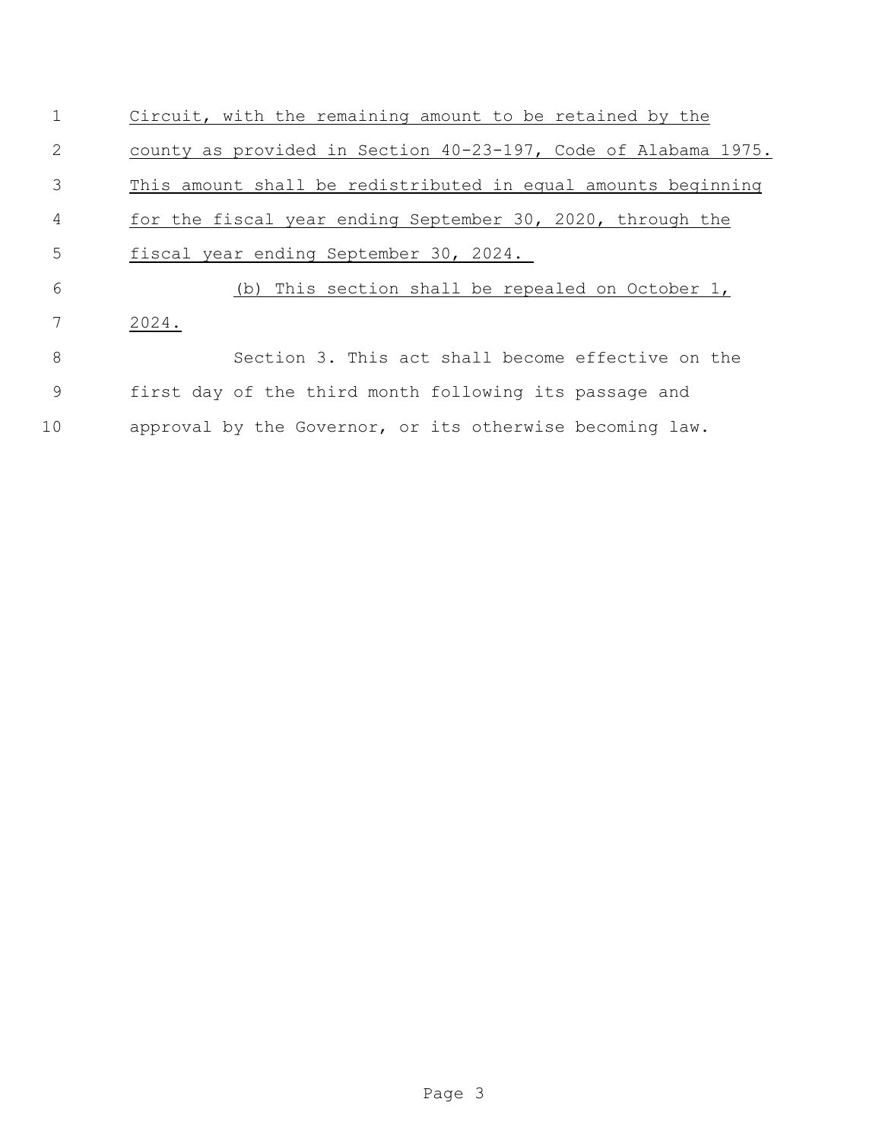| $\mathbf 1$ | Circuit, with the remaining amount to be retained by the       |
|-------------|----------------------------------------------------------------|
| 2           | county as provided in Section 40-23-197, Code of Alabama 1975. |
| 3           | This amount shall be redistributed in equal amounts beginning  |
| 4           | for the fiscal year ending September 30, 2020, through the     |
| 5           | fiscal year ending September 30, 2024.                         |
| 6           | (b) This section shall be repealed on October 1,               |
| 7           | 2024.                                                          |
| 8           | Section 3. This act shall become effective on the              |
| 9           | first day of the third month following its passage and         |
| 10          | approval by the Governor, or its otherwise becoming law.       |